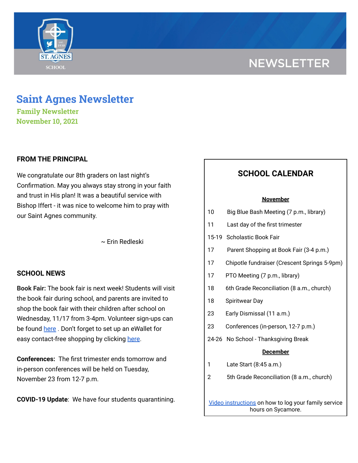# **NEWSLETTER**



**Family Newsletter November 10, 2021**

## **FROM THE PRINCIPAL**

We congratulate our 8th graders on last night's Confirmation. May you always stay strong in your faith and trust in His plan! It was a beautiful service with Bishop Iffert - it was nice to welcome him to pray with our Saint Agnes community.

~ Erin Redleski

## **SCHOOL NEWS**

**Book Fair:** The book fair is next week! Students will visit the book fair during school, and parents are invited to shop the book fair with their children after school on Wednesday, 11/17 from 3-4pm. Volunteer sign-ups can be found [here](https://www.signupgenius.com/go/60b0f45afa623a4fe3-book) . Don't forget to set up an eWallet for easy contact-free shopping by clicking [here](https://www.scholastic.com/bf/stagnesschool8).

**Conferences:** The first trimester ends tomorrow and in-person conferences will be held on Tuesday, November 23 from 12-7 p.m.

**COVID-19 Update**: We have four students quarantining.

## **SCHOOL CALENDAR**

#### **November**

| 10 | Big Blue Bash Meeting (7 p.m., library)                                    |
|----|----------------------------------------------------------------------------|
| 11 | Last day of the first trimester                                            |
|    | 15-19 Scholastic Book Fair                                                 |
| 17 | Parent Shopping at Book Fair (3-4 p.m.)                                    |
| 17 | Chipotle fundraiser (Crescent Springs 5-9pm)                               |
| 17 | PTO Meeting (7 p.m., library)                                              |
| 18 | 6th Grade Reconciliation (8 a.m., church)                                  |
| 18 | Spiritwear Day                                                             |
| 23 | Early Dismissal (11 a.m.)                                                  |
| 23 | Conferences (in-person, 12-7 p.m.)                                         |
|    | 24-26 No School - Thanksgiving Break                                       |
|    | <u>December</u>                                                            |
| 1  | Late Start (8:45 a.m.)                                                     |
| 2  | 5th Grade Reconciliation (8 a.m., church)                                  |
|    |                                                                            |
|    | Video instructions on how to log your family service<br>hours on Sycamore. |